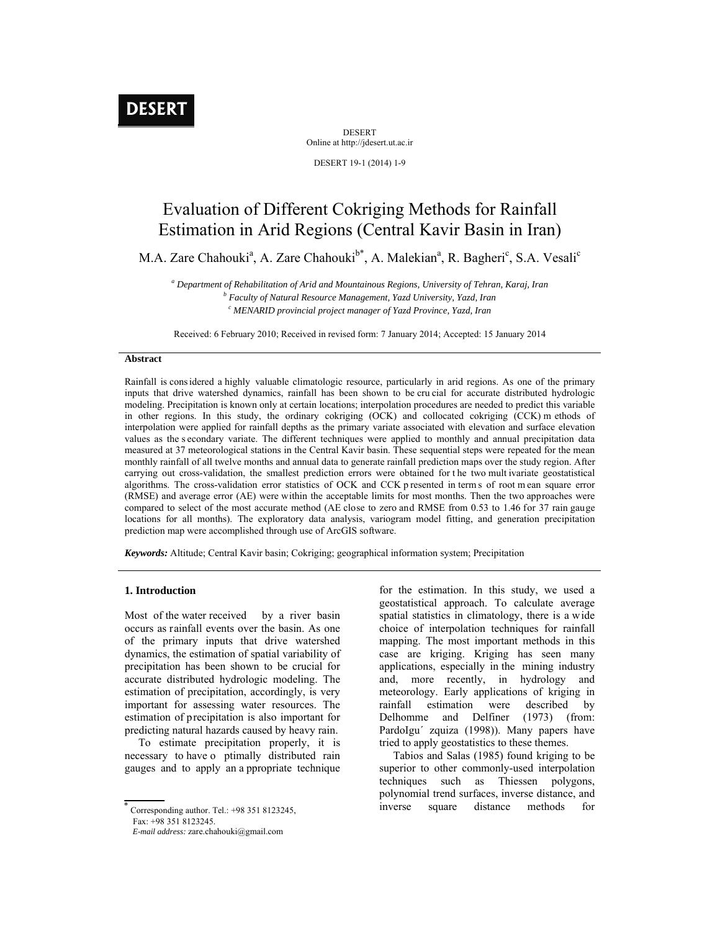# **DESERT**

DESERT Online at http://jdesert.ut.ac.ir

DESERT 19-1 (2014) 1-9

# Evaluation of Different Cokriging Methods for Rainfall Estimation in Arid Regions (Central Kavir Basin in Iran)

M.A. Zare Chahouki<sup>a</sup>, A. Zare Chahouki<sup>b\*</sup>, A. Malekian<sup>a</sup>, R. Bagheri<sup>c</sup>, S.A. Vesali<sup>c</sup>

<sup>a</sup> Department of Rehabilitation of Arid and Mountainous Regions, University of Tehran, Karaj, Iran b Leau b Leau b  *Faculty of Natural Resource Management, Yazd University, Yazd, Iran c MENARID provincial project manager of Yazd Province, Yazd, Iran* 

Received: 6 February 2010; Received in revised form: 7 January 2014; Accepted: 15 January 2014

# **Abstract**

Rainfall is cons idered a highly valuable climatologic resource, particularly in arid regions. As one of the primary inputs that drive watershed dynamics, rainfall has been shown to be cru cial for accurate distributed hydrologic modeling. Precipitation is known only at certain locations; interpolation procedures are needed to predict this variable in other regions. In this study, the ordinary cokriging (OCK) and collocated cokriging (CCK) m ethods of interpolation were applied for rainfall depths as the primary variate associated with elevation and surface elevation values as the s econdary variate. The different techniques were applied to monthly and annual precipitation data measured at 37 meteorological stations in the Central Kavir basin. These sequential steps were repeated for the mean monthly rainfall of all twelve months and annual data to generate rainfall prediction maps over the study region. After carrying out cross-validation, the smallest prediction errors were obtained for the two mult ivariate geostatistical algorithms. The cross-validation error statistics of OCK and CCK p resented in term s of root m ean square error (RMSE) and average error (AE) were within the acceptable limits for most months. Then the two approaches were compared to select of the most accurate method (AE close to zero and RMSE from 0.53 to 1.46 for 37 rain gauge locations for all months). The exploratory data analysis, variogram model fitting, and generation precipitation prediction map were accomplished through use of ArcGIS software.

*Keywords:* Altitude; Central Kavir basin; Cokriging; geographical information system; Precipitation

## **1. Introduction**

Most of the water received by a river basin occurs as rainfall events over the basin. As one of the primary inputs that drive watershed dynamics, the estimation of spatial variability of precipitation has been shown to be crucial for accurate distributed hydrologic modeling. The estimation of precipitation, accordingly, is very important for assessing water resources. The estimation of precipitation is also important for predicting natural hazards caused by heavy rain.

 To estimate precipitation properly, it is necessary to have o ptimally distributed rain gauges and to apply an a ppropriate technique

 $\overline{\text{Corresponding author}}$ . Tel.: +98 351 8123245,

for the estimation. In this study, we used a geostatistical approach. To calculate average spatial statistics in climatology, there is a wide choice of interpolation techniques for rainfall mapping. The most important methods in this case are kriging. Kriging has seen many applications, especially in the mining industry and, more recently, in hydrology and meteorology. Early applications of kriging in rainfall estimation were described by Delhomme and Delfiner (1973) (from: PardoIgu´ zquiza (1998)). Many papers have tried to apply geostatistics to these themes.

 Tabios and Salas (1985) found kriging to be superior to other commonly-used interpolation techniques such as Thiessen polygons, polynomial trend surfaces, inverse distance, and inverse square distance methods for

Fax: +98 351 8123245.

*E-mail address:* zare.chahouki@gmail.com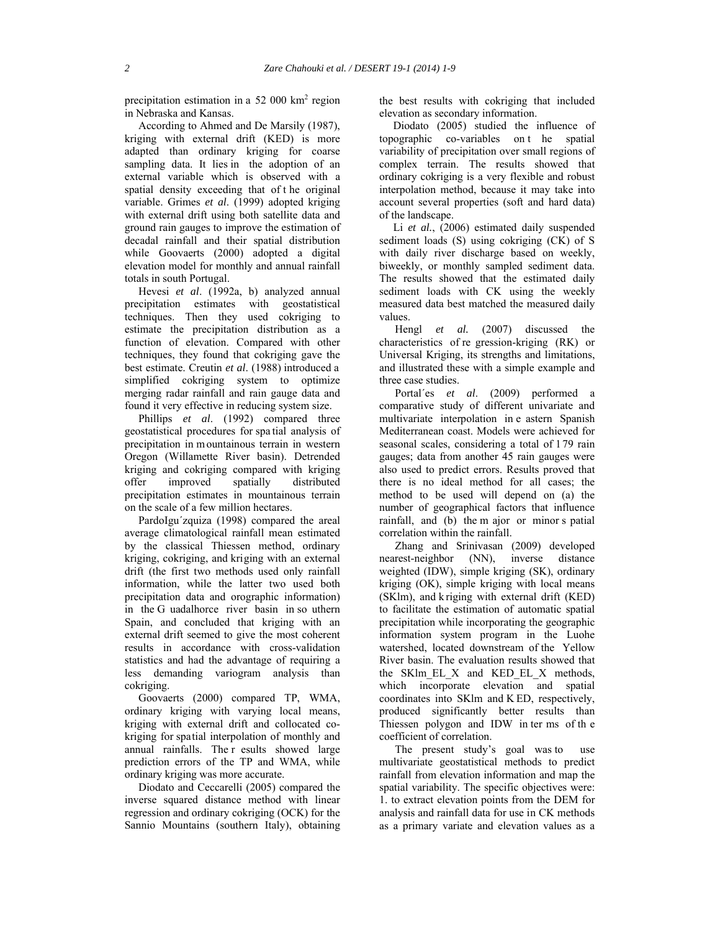precipitation estimation in a 52 000 km<sup>2</sup> region in Nebraska and Kansas.

 According to Ahmed and De Marsily (1987), kriging with external drift (KED) is more adapted than ordinary kriging for coarse sampling data. It lies in the adoption of an external variable which is observed with a spatial density exceeding that of t he original variable. Grimes *et al*. (1999) adopted kriging with external drift using both satellite data and ground rain gauges to improve the estimation of decadal rainfall and their spatial distribution while Goovaerts (2000) adopted a digital elevation model for monthly and annual rainfall totals in south Portugal.

 Hevesi *et al*. (1992a, b) analyzed annual precipitation estimates with geostatistical techniques. Then they used cokriging to estimate the precipitation distribution as a function of elevation. Compared with other techniques, they found that cokriging gave the best estimate. Creutin *et al*. (1988) introduced a simplified cokriging system to optimize merging radar rainfall and rain gauge data and found it very effective in reducing system size.

 Phillips *et al*. (1992) compared three geostatistical procedures for spa tial analysis of precipitation in m ountainous terrain in western Oregon (Willamette River basin). Detrended kriging and cokriging compared with kriging offer improved spatially distributed precipitation estimates in mountainous terrain on the scale of a few million hectares.

 PardoIgu´zquiza (1998) compared the areal average climatological rainfall mean estimated by the classical Thiessen method, ordinary kriging, cokriging, and kriging with an external drift (the first two methods used only rainfall information, while the latter two used both precipitation data and orographic information) in the G uadalhorce river basin in so uthern Spain, and concluded that kriging with an external drift seemed to give the most coherent results in accordance with cross-validation statistics and had the advantage of requiring a less demanding variogram analysis than cokriging.

 Goovaerts (2000) compared TP, WMA, ordinary kriging with varying local means, kriging with external drift and collocated cokriging for spatial interpolation of monthly and annual rainfalls. The r esults showed large prediction errors of the TP and WMA, while ordinary kriging was more accurate.

 Diodato and Ceccarelli (2005) compared the inverse squared distance method with linear regression and ordinary cokriging (OCK) for the Sannio Mountains (southern Italy), obtaining the best results with cokriging that included elevation as secondary information.

 Diodato (2005) studied the influence of topographic co-variables on t he spatial variability of precipitation over small regions of complex terrain. The results showed that ordinary cokriging is a very flexible and robust interpolation method, because it may take into account several properties (soft and hard data) of the landscape.

Li et al., (2006) estimated daily suspended sediment loads (S) using cokriging (CK) of S with daily river discharge based on weekly, biweekly, or monthly sampled sediment data. The results showed that the estimated daily sediment loads with CK using the weekly measured data best matched the measured daily values.

Hengl *et al.* (2007) discussed the characteristics of re gression-kriging (RK) or Universal Kriging, its strengths and limitations, and illustrated these with a simple example and three case studies.

Portal´es *et al*. (2009) performed a comparative study of different univariate and multivariate interpolation in e astern Spanish Mediterranean coast. Models were achieved for seasonal scales, considering a total of 179 rain gauges; data from another 45 rain gauges were also used to predict errors. Results proved that there is no ideal method for all cases; the method to be used will depend on (a) the number of geographical factors that influence rainfall, and (b) the m ajor or minor s patial correlation within the rainfall.

Zhang and Srinivasan (2009) developed nearest-neighbor (NN), inverse distance weighted (IDW), simple kriging (SK), ordinary kriging (OK), simple kriging with local means (SKlm), and k riging with external drift (KED) to facilitate the estimation of automatic spatial precipitation while incorporating the geographic information system program in the Luohe watershed, located downstream of the Yellow River basin. The evaluation results showed that the SKlm EL X and KED EL X methods, which incorporate elevation and spatial coordinates into SKlm and K ED, respectively, produced significantly better results than Thiessen polygon and IDW in ter ms of th e coefficient of correlation.

The present study's goal was to use multivariate geostatistical methods to predict rainfall from elevation information and map the spatial variability. The specific objectives were: 1. to extract elevation points from the DEM for analysis and rainfall data for use in CK methods as a primary variate and elevation values as a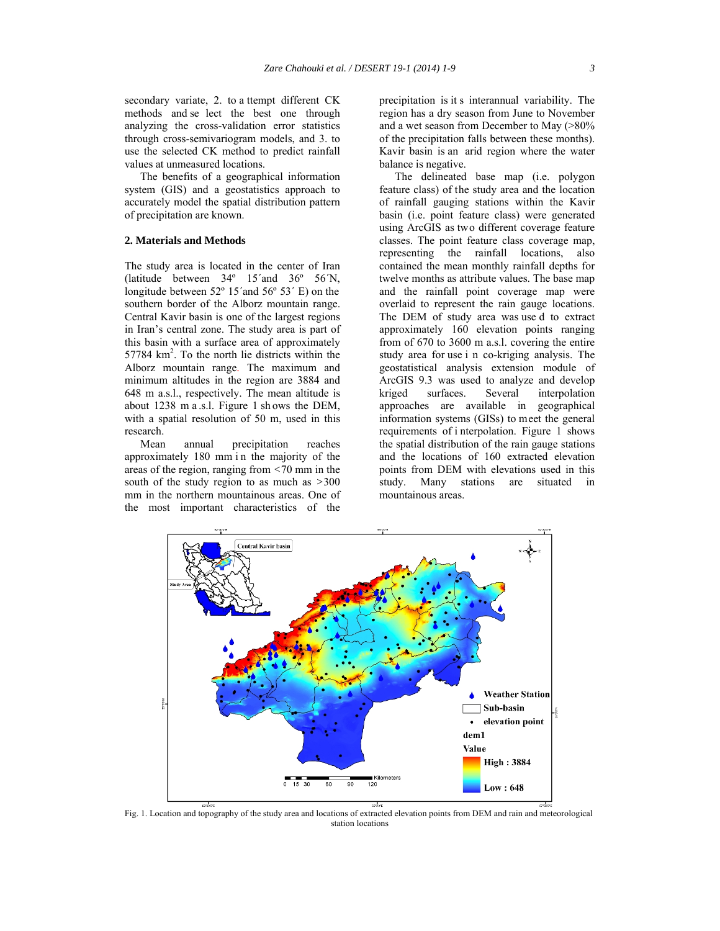secondary variate, 2. to a ttempt different CK methods and se lect the best one through analyzing the cross-validation error statistics through cross-semivariogram models, and 3. to use the selected CK method to predict rainfall values at unmeasured locations.

The benefits of a geographical information system (GIS) and a geostatistics approach to accurately model the spatial distribution pattern of precipitation are known.

# **2. Materials and Methods**

The study area is located in the center of Iran (latitude between 34º 15´and 36º 56´N, longitude between 52° 15′ and 56° 53′ E) on the southern border of the Alborz mountain range. Central Kavir basin is one of the largest regions in Iran's central zone. The study area is part of this basin with a surface area of approximately 57784 km<sup>2</sup>. To the north lie districts within the Alborz mountain range. The maximum and minimum altitudes in the region are 3884 and 648 m a.s.l., respectively. The mean altitude is about 1238 m a .s.l. Figure 1 sh ows the DEM, with a spatial resolution of 50 m, used in this research.

Mean annual precipitation reaches approximately 180 mm in the majority of the areas of the region, ranging from *<*70 mm in the south of the study region to as much as *>*300 mm in the northern mountainous areas. One of the most important characteristics of the

precipitation is it s interannual variability. The region has a dry season from June to November and a wet season from December to May (>80% of the precipitation falls between these months). Kavir basin is an arid region where the water balance is negative.

The delineated base map (i.e. polygon feature class) of the study area and the location of rainfall gauging stations within the Kavir basin (i.e. point feature class) were generated using ArcGIS as two different coverage feature classes. The point feature class coverage map, representing the rainfall locations, also contained the mean monthly rainfall depths for twelve months as attribute values. The base map and the rainfall point coverage map were overlaid to represent the rain gauge locations. The DEM of study area was use d to extract approximately 160 elevation points ranging from of 670 to 3600 m a.s.l. covering the entire study area for use i n co-kriging analysis. The geostatistical analysis extension module of ArcGIS 9.3 was used to analyze and develop kriged surfaces. Several interpolation approaches are available in geographical information systems (GISs) to meet the general requirements of i nterpolation. Figure 1 shows the spatial distribution of the rain gauge stations and the locations of 160 extracted elevation points from DEM with elevations used in this study. Many stations are situated in mountainous areas.



Fig. 1. Location and topography of the study area and locations of extracted elevation points from DEM and rain and meteorological station locations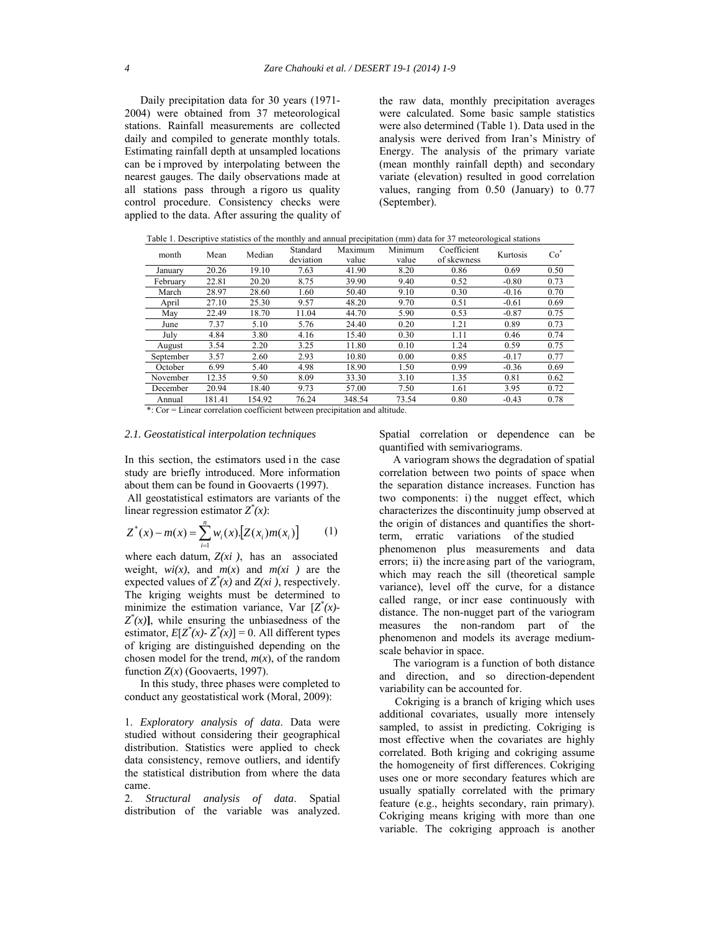Daily precipitation data for 30 years (1971- 2004) were obtained from 37 meteorological stations. Rainfall measurements are collected daily and compiled to generate monthly totals. Estimating rainfall depth at unsampled locations can be i mproved by interpolating between the nearest gauges. The daily observations made at all stations pass through a rigoro us quality control procedure. Consistency checks were applied to the data. After assuring the quality of the raw data, monthly precipitation averages were calculated. Some basic sample statistics were also determined (Table 1). Data used in the analysis were derived from Iran's Ministry of Energy. The analysis of the primary variate (mean monthly rainfall depth) and secondary variate (elevation) resulted in good correlation values, ranging from 0.50 (January) to 0.77 (September).

|  |  |  |  | Table 1. Descriptive statistics of the monthly and annual precipitation (mm) data for 37 meteorological stations |
|--|--|--|--|------------------------------------------------------------------------------------------------------------------|
|--|--|--|--|------------------------------------------------------------------------------------------------------------------|

| month     | Mean   | Median | Standard<br>deviation | Maximum<br>value | Minimum<br>value | Coefficient<br>of skewness | Kurtosis | $Co^*$ |
|-----------|--------|--------|-----------------------|------------------|------------------|----------------------------|----------|--------|
| January   | 20.26  | 19.10  | 7.63                  | 41.90            | 8.20             | 0.86                       | 0.69     | 0.50   |
| February  | 22.81  | 20.20  | 8.75                  | 39.90            | 9.40             | 0.52                       | $-0.80$  | 0.73   |
| March     | 28.97  | 28.60  | 1.60                  | 50.40            | 9.10             | 0.30                       | $-0.16$  | 0.70   |
| April     | 27.10  | 25.30  | 9.57                  | 48.20            | 9.70             | 0.51                       | $-0.61$  | 0.69   |
| May       | 22.49  | 18.70  | 11.04                 | 44.70            | 5.90             | 0.53                       | $-0.87$  | 0.75   |
| June      | 7.37   | 5.10   | 5.76                  | 24.40            | 0.20             | 1.21                       | 0.89     | 0.73   |
| July      | 4.84   | 3.80   | 4.16                  | 15.40            | 0.30             | 1.11                       | 0.46     | 0.74   |
| August    | 3.54   | 2.20   | 3.25                  | 11.80            | 0.10             | 1.24                       | 0.59     | 0.75   |
| September | 3.57   | 2.60   | 2.93                  | 10.80            | 0.00             | 0.85                       | $-0.17$  | 0.77   |
| October   | 6.99   | 5.40   | 4.98                  | 18.90            | 1.50             | 0.99                       | $-0.36$  | 0.69   |
| November  | 12.35  | 9.50   | 8.09                  | 33.30            | 3.10             | 1.35                       | 0.81     | 0.62   |
| December  | 20.94  | 18.40  | 9.73                  | 57.00            | 7.50             | 1.61                       | 3.95     | 0.72   |
| Annual    | 181.41 | 154.92 | 76.24                 | 348.54           | 73.54            | 0.80                       | $-0.43$  | 0.78   |

\*: Cor = Linear correlation coefficient between precipitation and altitude.

# *2.1. Geostatistical interpolation techniques*

In this section, the estimators used in the case study are briefly introduced. More information about them can be found in Goovaerts (1997). All geostatistical estimators are variants of the linear regression estimator  $Z^*(x)$ :

$$
Z^*(x) - m(x) = \sum_{i=1}^n w_i(x) [Z(x_i)m(x_i)] \qquad (1)
$$

where each datum, *Z(xi )*, has an associated weight,  $wi(x)$ , and  $m(x)$  and  $m(xi)$  are the expected values of  $Z^*(x)$  and  $Z(x_i)$ , respectively. The kriging weights must be determined to minimize the estimation variance, Var  $[Z^*(x)$ - $Z^*(x)$ ], while ensuring the unbiasedness of the estimator,  $E[Z^*(x) - Z^*(x)] = 0$ . All different types of kriging are distinguished depending on the chosen model for the trend,  $m(x)$ , of the random function  $Z(x)$  (Goovaerts, 1997).

In this study, three phases were completed to conduct any geostatistical work (Moral, 2009):

1. *Exploratory analysis of data*. Data were studied without considering their geographical distribution. Statistics were applied to check data consistency, remove outliers, and identify the statistical distribution from where the data came.

2. *Structural analysis of data*. Spatial distribution of the variable was analyzed.

Spatial correlation or dependence can be quantified with semivariograms.

 A variogram shows the degradation of spatial correlation between two points of space when the separation distance increases. Function has two components: i) the nugget effect, which characterizes the discontinuity jump observed at the origin of distances and quantifies the shortterm, erratic variations of the studied phenomenon plus measurements and data errors; ii) the increasing part of the variogram, which may reach the sill (theoretical sample variance), level off the curve, for a distance called range, or incr ease continuously with distance. The non-nugget part of the variogram measures the non-random part of the phenomenon and models its average mediumscale behavior in space.

 The variogram is a function of both distance and direction, and so direction-dependent variability can be accounted for.

Cokriging is a branch of kriging which uses additional covariates, usually more intensely sampled, to assist in predicting. Cokriging is most effective when the covariates are highly correlated. Both kriging and cokriging assume the homogeneity of first differences. Cokriging uses one or more secondary features which are usually spatially correlated with the primary feature (e.g., heights secondary, rain primary). Cokriging means kriging with more than one variable. The cokriging approach is another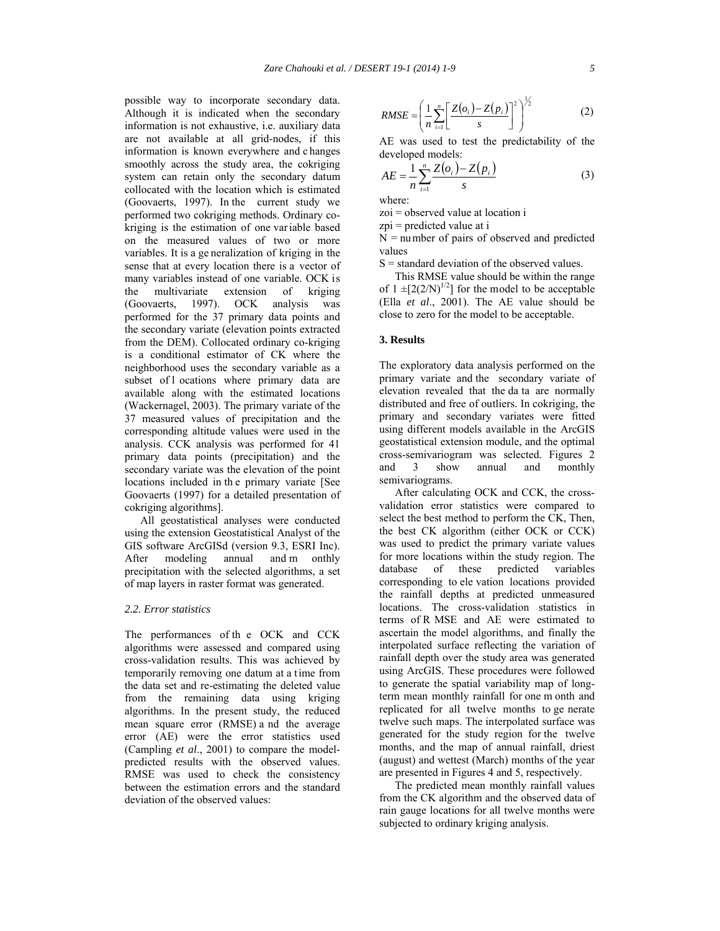possible way to incorporate secondary data. Although it is indicated when the secondary information is not exhaustive, i.e. auxiliary data are not available at all grid-nodes, if this information is known everywhere and c hanges smoothly across the study area, the cokriging system can retain only the secondary datum collocated with the location which is estimated (Goovaerts, 1997). In the current study we performed two cokriging methods. Ordinary cokriging is the estimation of one var iable based on the measured values of two or more variables. It is a ge neralization of kriging in the sense that at every location there is a vector of many variables instead of one variable. OCK is the multivariate extension of kriging (Goovaerts, 1997). OCK analysis was performed for the 37 primary data points and the secondary variate (elevation points extracted from the DEM). Collocated ordinary co-kriging is a conditional estimator of CK where the neighborhood uses the secondary variable as a subset of l ocations where primary data are available along with the estimated locations (Wackernagel, 2003). The primary variate of the 37 measured values of precipitation and the corresponding altitude values were used in the analysis. CCK analysis was performed for 41 primary data points (precipitation) and the secondary variate was the elevation of the point locations included in th e primary variate [See Goovaerts (1997) for a detailed presentation of cokriging algorithms].

All geostatistical analyses were conducted using the extension Geostatistical Analyst of the GIS software ArcGISd (version 9.3, ESRI Inc). After modeling annual and m onthly precipitation with the selected algorithms, a set of map layers in raster format was generated.

#### *2.2. Error statistics*

The performances of th e OCK and CCK algorithms were assessed and compared using cross-validation results. This was achieved by temporarily removing one datum at a time from the data set and re-estimating the deleted value from the remaining data using kriging algorithms. In the present study, the reduced mean square error (RMSE) a nd the average error (AE) were the error statistics used (Campling *et al*., 2001) to compare the modelpredicted results with the observed values. RMSE was used to check the consistency between the estimation errors and the standard deviation of the observed values:

$$
RMSE = \left(\frac{1}{n}\sum_{i=1}^{n}\left[\frac{Z(o_i) - Z(p_i)}{s}\right]^2\right)^{\frac{1}{2}}
$$
(2)

AE was used to test the predictability of the developed models:

$$
AE = \frac{1}{n} \sum_{i=1}^{n} \frac{Z(o_i) - Z(p_i)}{s}
$$
(3)

where:

zoi = observed value at location i

zpi = predicted value at i

N = number of pairs of observed and predicted values

 $S =$  standard deviation of the observed values.

This RMSE value should be within the range of  $1 \pm [2(2/N)^{1/2}]$  for the model to be acceptable (Ella *et al*., 2001). The AE value should be close to zero for the model to be acceptable.

#### **3. Results**

The exploratory data analysis performed on the primary variate and the secondary variate of elevation revealed that the da ta are normally distributed and free of outliers. In cokriging, the primary and secondary variates were fitted using different models available in the ArcGIS geostatistical extension module, and the optimal cross-semivariogram was selected. Figures 2 and 3 show annual and monthly semivariograms.

After calculating OCK and CCK, the crossvalidation error statistics were compared to select the best method to perform the CK, Then, the best CK algorithm (either OCK or CCK) was used to predict the primary variate values for more locations within the study region. The database of these predicted variables of these predicted variables corresponding to ele vation locations provided the rainfall depths at predicted unmeasured locations. The cross-validation statistics in terms of R MSE and AE were estimated to ascertain the model algorithms, and finally the interpolated surface reflecting the variation of rainfall depth over the study area was generated using ArcGIS. These procedures were followed to generate the spatial variability map of longterm mean monthly rainfall for one m onth and replicated for all twelve months to ge nerate twelve such maps. The interpolated surface was generated for the study region for the twelve months, and the map of annual rainfall, driest (august) and wettest (March) months of the year are presented in Figures 4 and 5, respectively.

The predicted mean monthly rainfall values from the CK algorithm and the observed data of rain gauge locations for all twelve months were subjected to ordinary kriging analysis.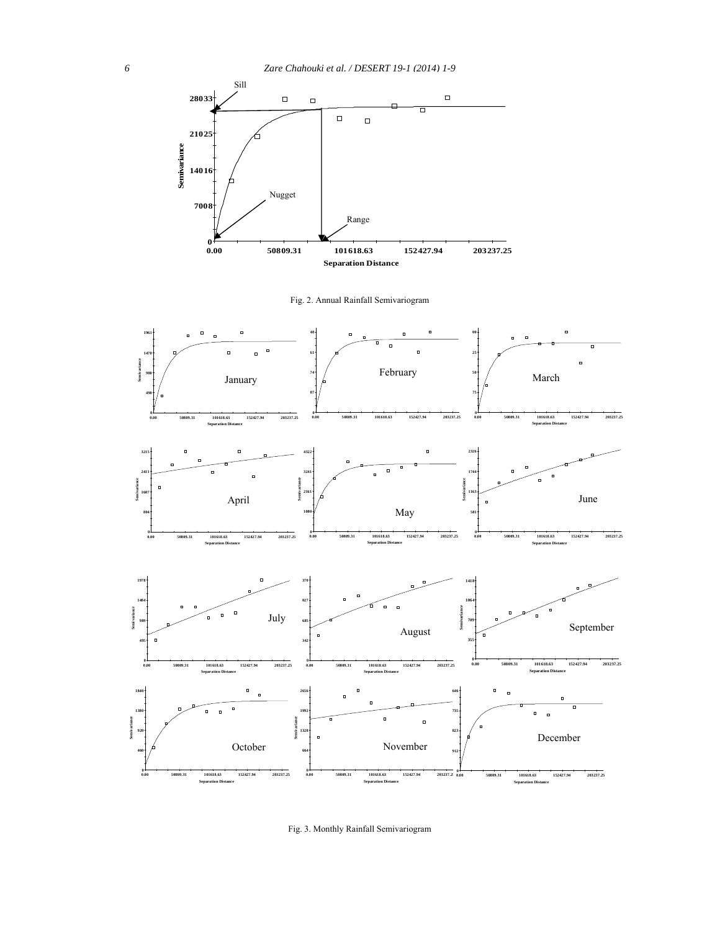

Fig. 2. Annual Rainfall Semivariogram



Fig. 3. Monthly Rainfall Semivariogram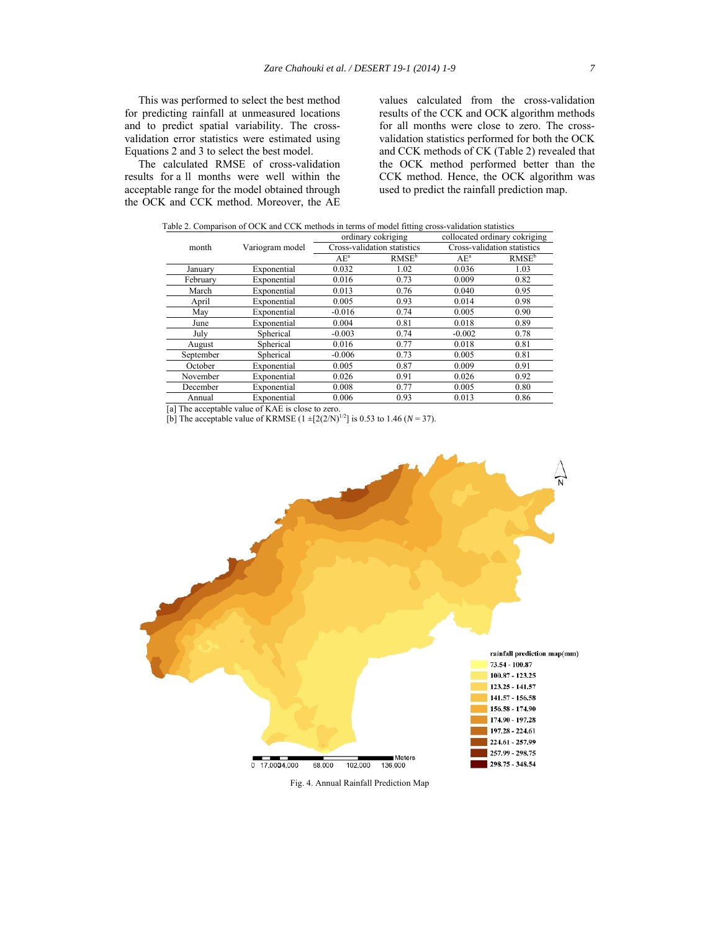This was performed to select the best method for predicting rainfall at unmeasured locations and to predict spatial variability. The crossvalidation error statistics were estimated using Equations 2 and 3 to select the best model.

 The calculated RMSE of cross-validation results for a ll months were well within the acceptable range for the model obtained through the OCK and CCK method. Moreover, the AE

values calculated from the cross-validation results of the CCK and OCK algorithm methods for all months were close to zero. The crossvalidation statistics performed for both the OCK and CCK methods of CK (Table 2) revealed that the OCK method performed better than the CCK method. Hence, the OCK algorithm was used to predict the rainfall prediction map.

| Table 2. Comparison of OCK and CCK methods in terms of model fitting cross-validation statistics |                 |                             |                   |                               |                   |  |  |  |
|--------------------------------------------------------------------------------------------------|-----------------|-----------------------------|-------------------|-------------------------------|-------------------|--|--|--|
|                                                                                                  |                 | ordinary cokriging          |                   | collocated ordinary cokriging |                   |  |  |  |
| month                                                                                            | Variogram model | Cross-validation statistics |                   | Cross-validation statistics   |                   |  |  |  |
|                                                                                                  |                 | $AE^a$                      | RMSE <sup>b</sup> | $AE^a$                        | RMSE <sup>b</sup> |  |  |  |
| January                                                                                          | Exponential     | 0.032                       | 1.02              | 0.036                         | 1.03              |  |  |  |
| February                                                                                         | Exponential     | 0.016                       | 0.73              | 0.009                         | 0.82              |  |  |  |
| March                                                                                            | Exponential     | 0.013                       | 0.76              | 0.040                         | 0.95              |  |  |  |
| April                                                                                            | Exponential     | 0.005                       | 0.93              | 0.014                         | 0.98              |  |  |  |
| May                                                                                              | Exponential     | $-0.016$                    | 0.74              | 0.005                         | 0.90              |  |  |  |
| June                                                                                             | Exponential     | 0.004                       | 0.81              | 0.018                         | 0.89              |  |  |  |
| July                                                                                             | Spherical       | $-0.003$                    | 0.74              | $-0.002$                      | 0.78              |  |  |  |
| August                                                                                           | Spherical       | 0.016                       | 0.77              | 0.018                         | 0.81              |  |  |  |
| September                                                                                        | Spherical       | $-0.006$                    | 0.73              | 0.005                         | 0.81              |  |  |  |
| October                                                                                          | Exponential     | 0.005                       | 0.87              | 0.009                         | 0.91              |  |  |  |
| November                                                                                         | Exponential     | 0.026                       | 0.91              | 0.026                         | 0.92              |  |  |  |
| December                                                                                         | Exponential     | 0.008                       | 0.77              | 0.005                         | 0.80              |  |  |  |
| Annual                                                                                           | Exponential     | 0.006                       | 0.93              | 0.013                         | 0.86              |  |  |  |

[a] The acceptable value of KAE is close to zero.

[b] The acceptable value of KRMSE  $(1 \pm [2(2/N)]^{1/2}]$  is 0.53 to 1.46 (*N* = 37).



Fig. 4. Annual Rainfall Prediction Map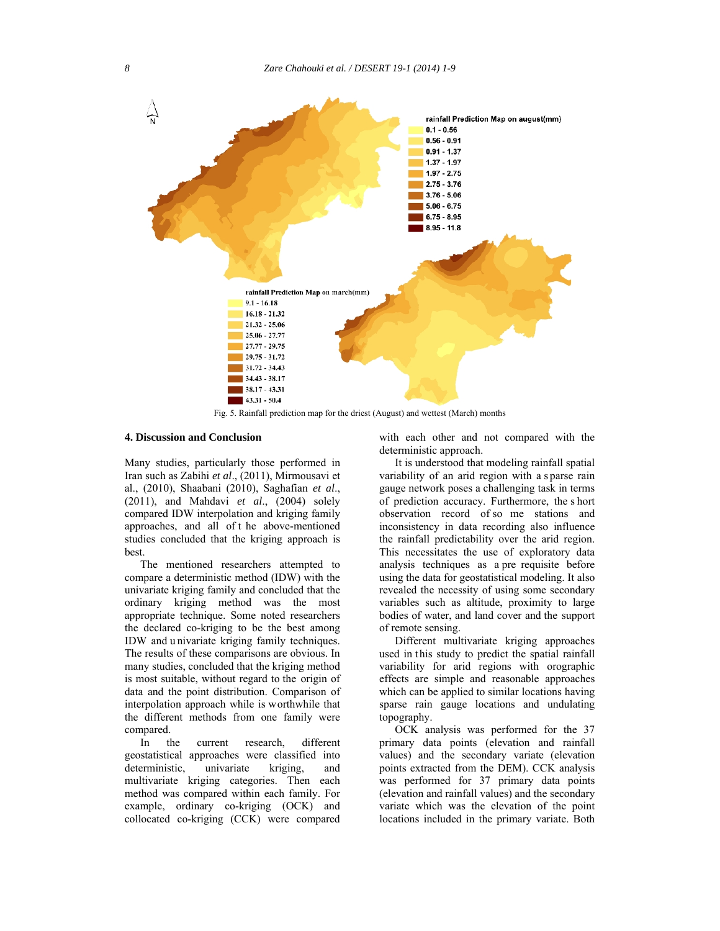

Fig. 5. Rainfall prediction map for the driest (August) and wettest (March) months

#### **4. Discussion and Conclusion**

Many studies, particularly those performed in Iran such as Zabihi *et al*., (2011), Mirmousavi et al., (2010), Shaabani (2010), Saghafian *et al*., (2011), and Mahdavi *et al*., (2004) solely compared IDW interpolation and kriging family approaches, and all of t he above-mentioned studies concluded that the kriging approach is best.

The mentioned researchers attempted to compare a deterministic method (IDW) with the univariate kriging family and concluded that the ordinary kriging method was the most appropriate technique. Some noted researchers the declared co-kriging to be the best among IDW and u nivariate kriging family techniques. The results of these comparisons are obvious. In many studies, concluded that the kriging method is most suitable, without regard to the origin of data and the point distribution. Comparison of interpolation approach while is worthwhile that the different methods from one family were compared.<br>In th

the current research, different geostatistical approaches were classified into deterministic, univariate kriging, and multivariate kriging categories. Then each method was compared within each family. For example, ordinary co-kriging (OCK) and collocated co-kriging (CCK) were compared with each other and not compared with the deterministic approach.

It is understood that modeling rainfall spatial variability of an arid region with a sparse rain gauge network poses a challenging task in terms of prediction accuracy. Furthermore, the s hort observation record of so me stations and inconsistency in data recording also influence the rainfall predictability over the arid region. This necessitates the use of exploratory data analysis techniques as a pre requisite before using the data for geostatistical modeling. It also revealed the necessity of using some secondary variables such as altitude, proximity to large bodies of water, and land cover and the support of remote sensing.

Different multivariate kriging approaches used in this study to predict the spatial rainfall variability for arid regions with orographic effects are simple and reasonable approaches which can be applied to similar locations having sparse rain gauge locations and undulating topography.

OCK analysis was performed for the 37 primary data points (elevation and rainfall values) and the secondary variate (elevation points extracted from the DEM). CCK analysis was performed for 37 primary data points (elevation and rainfall values) and the secondary variate which was the elevation of the point locations included in the primary variate. Both